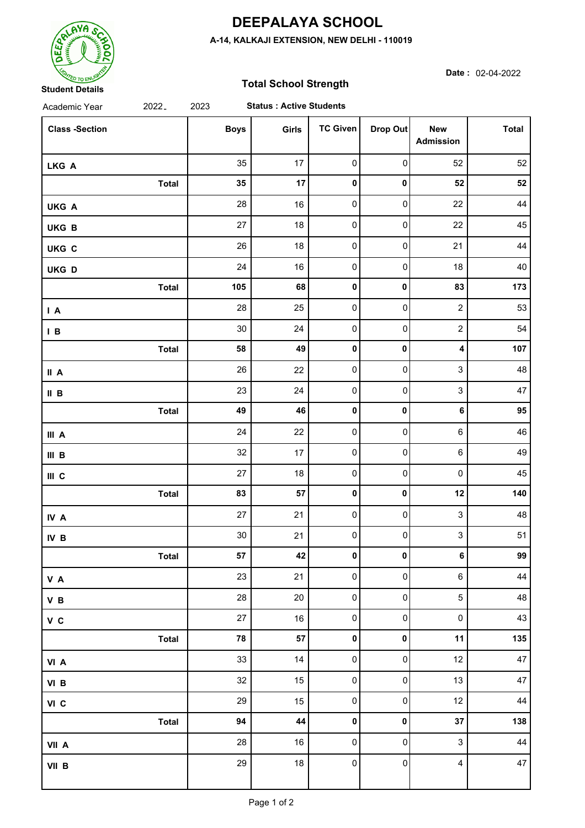

## **DEEPALAYA SCHOOL**

**Total School Strength**

**A-14, KALKAJI EXTENSION, NEW DELHI - 110019**

**Date :** 02-04-2022

| Academic Year         | 2022_        | 2023<br><b>Status: Active Students</b> |        |                 |           |                                |              |  |  |
|-----------------------|--------------|----------------------------------------|--------|-----------------|-----------|--------------------------------|--------------|--|--|
| <b>Class -Section</b> |              | <b>Boys</b>                            | Girls  | <b>TC Given</b> | Drop Out  | <b>New</b><br><b>Admission</b> | <b>Total</b> |  |  |
| LKG A                 |              | 35                                     | 17     | 0               | $\pmb{0}$ | 52                             | 52           |  |  |
|                       | <b>Total</b> | 35                                     | 17     | 0               | $\pmb{0}$ | 52                             | 52           |  |  |
| UKG A                 |              | 28                                     | $16\,$ | 0               | 0         | 22                             | 44           |  |  |
| UKG B                 |              | 27                                     | 18     | $\pmb{0}$       | $\pmb{0}$ | 22                             | 45           |  |  |
| UKG C                 |              | 26                                     | 18     | 0               | $\pmb{0}$ | 21                             | 44           |  |  |
| UKG D                 |              | 24                                     | 16     | 0               | $\pmb{0}$ | 18                             | 40           |  |  |
|                       | <b>Total</b> | 105                                    | 68     | 0               | $\pmb{0}$ | 83                             | 173          |  |  |
| $\mathsf{I}$ A        |              | 28                                     | 25     | 0               | $\pmb{0}$ | $\boldsymbol{2}$               | 53           |  |  |
| $\mathsf{I}$ B        |              | $30\,$                                 | 24     | 0               | $\pmb{0}$ | $\boldsymbol{2}$               | 54           |  |  |
|                       | <b>Total</b> | 58                                     | 49     | $\pmb{0}$       | $\pmb{0}$ | 4                              | 107          |  |  |
| $\parallel$ A         |              | 26                                     | 22     | 0               | $\pmb{0}$ | $\ensuremath{\mathsf{3}}$      | 48           |  |  |
| $II$ B                |              | 23                                     | 24     | 0               | $\pmb{0}$ | $\ensuremath{\mathsf{3}}$      | 47           |  |  |
|                       | <b>Total</b> | 49                                     | 46     | 0               | $\pmb{0}$ | 6                              | 95           |  |  |
| III A                 |              | 24                                     | 22     | 0               | $\pmb{0}$ | $\,6\,$                        | 46           |  |  |
| $III$ B               |              | 32                                     | 17     | 0               | 0         | $\,6\,$                        | 49           |  |  |
| $III$ C               |              | 27                                     | 18     | 0               | $\pmb{0}$ | $\pmb{0}$                      | 45           |  |  |
|                       | <b>Total</b> | 83                                     | 57     | $\pmb{0}$       | $\pmb{0}$ | 12                             | 140          |  |  |
| IV A                  |              | 27                                     | 21     | $\pmb{0}$       | $\pmb{0}$ | $\ensuremath{\mathsf{3}}$      | 48           |  |  |
| IV B                  |              | $30\,$                                 | 21     | 0               | $\pmb{0}$ | $\ensuremath{\mathsf{3}}$      | 51           |  |  |
|                       | <b>Total</b> | 57                                     | 42     | $\pmb{0}$       | $\pmb{0}$ | 6                              | 99           |  |  |
| V A                   |              | 23                                     | 21     | $\mathbf 0$     | $\pmb{0}$ | $\,6\,$                        | 44           |  |  |
| $V$ B                 |              | 28                                     | $20\,$ | 0               | 0         | $\mathbf 5$                    | 48           |  |  |
| V C                   |              | 27                                     | $16\,$ | $\pmb{0}$       | $\pmb{0}$ | $\pmb{0}$                      | 43           |  |  |
|                       | <b>Total</b> | 78                                     | 57     | $\pmb{0}$       | $\pmb{0}$ | 11                             | 135          |  |  |
| VI A                  |              | 33                                     | 14     | 0               | 0         | 12                             | 47           |  |  |
| VI B                  |              | 32                                     | 15     | 0               | $\pmb{0}$ | 13                             | 47           |  |  |
| VI C                  |              | 29                                     | 15     | $\pmb{0}$       | $\pmb{0}$ | 12                             | 44           |  |  |
|                       | <b>Total</b> | 94                                     | 44     | $\pmb{0}$       | $\pmb{0}$ | 37                             | 138          |  |  |
| VII A                 |              | 28                                     | $16\,$ | 0               | $\pmb{0}$ | $\ensuremath{\mathsf{3}}$      | 44           |  |  |
| VII B                 |              | 29                                     | $18$   | $\pmb{0}$       | $\pmb{0}$ | $\overline{\mathbf{4}}$        | 47           |  |  |